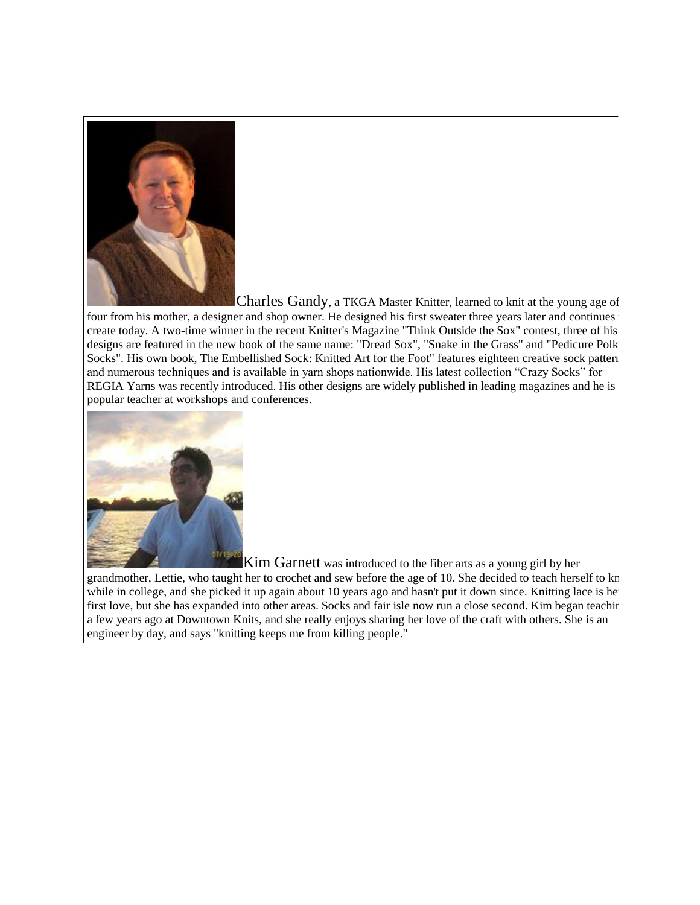

Charles Gandy, a TKGA Master Knitter, learned to knit at the young age of four from his mother, a designer and shop owner. He designed his first sweater three years later and continues create today. A two-time winner in the recent Knitter's Magazine "Think Outside the Sox" contest, three of his designs are featured in the new book of the same name: "Dread Sox", "Snake in the Grass" and "Pedicure Polka Socks". His own book, The Embellished Sock: Knitted Art for the Foot" features eighteen creative sock pattern and numerous techniques and is available in yarn shops nationwide. His latest collection "Crazy Socks" for REGIA Yarns was recently introduced. His other designs are widely published in leading magazines and he is popular teacher at workshops and conferences.



Kim Garnett was introduced to the fiber arts as a young girl by her

grandmother, Lettie, who taught her to crochet and sew before the age of 10. She decided to teach herself to kn while in college, and she picked it up again about 10 years ago and hasn't put it down since. Knitting lace is he first love, but she has expanded into other areas. Socks and fair isle now run a close second. Kim began teaching a few years ago at Downtown Knits, and she really enjoys sharing her love of the craft with others. She is an engineer by day, and says "knitting keeps me from killing people."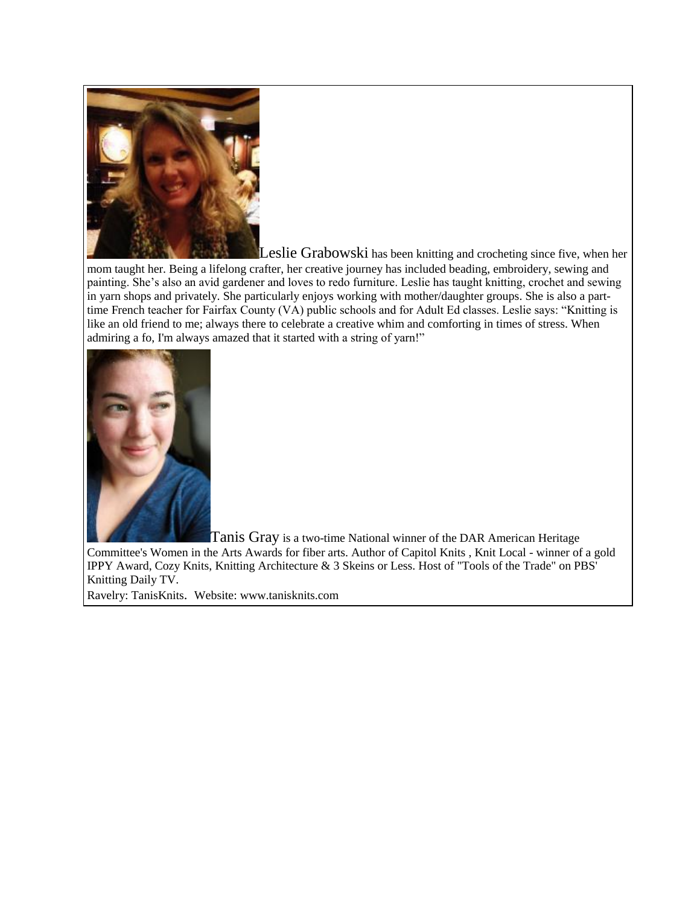

Leslie Grabowski has been knitting and crocheting since five, when her

mom taught her. Being a lifelong crafter, her creative journey has included beading, embroidery, sewing and painting. She's also an avid gardener and loves to redo furniture. Leslie has taught knitting, crochet and sewing in yarn shops and privately. She particularly enjoys working with mother/daughter groups. She is also a parttime French teacher for Fairfax County (VA) public schools and for Adult Ed classes. Leslie says: "Knitting is like an old friend to me; always there to celebrate a creative whim and comforting in times of stress. When admiring a fo, I'm always amazed that it started with a string of yarn!"



Tanis Gray is a two-time National winner of the DAR American Heritage

Committee's Women in the Arts Awards for fiber arts. Author of Capitol Knits , Knit Local - winner of a gold IPPY Award, Cozy Knits, Knitting Architecture & 3 Skeins or Less. Host of "Tools of the Trade" on PBS' Knitting Daily TV.

Ravelry: TanisKnits. Website: www.tanisknits.com